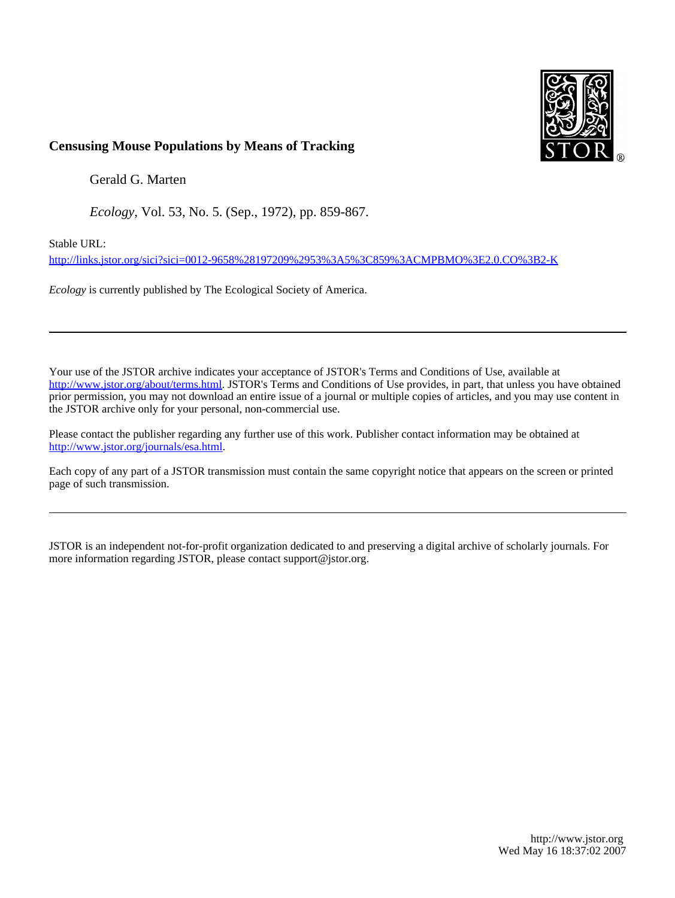

# **Censusing Mouse Populations by Means of Tracking**

Gerald G. Marten

*Ecology*, Vol. 53, No. 5. (Sep., 1972), pp. 859-867.

Stable URL:

<http://links.jstor.org/sici?sici=0012-9658%28197209%2953%3A5%3C859%3ACMPBMO%3E2.0.CO%3B2-K>

*Ecology* is currently published by The Ecological Society of America.

Your use of the JSTOR archive indicates your acceptance of JSTOR's Terms and Conditions of Use, available at [http://www.jstor.org/about/terms.html.](http://www.jstor.org/about/terms.html) JSTOR's Terms and Conditions of Use provides, in part, that unless you have obtained prior permission, you may not download an entire issue of a journal or multiple copies of articles, and you may use content in the JSTOR archive only for your personal, non-commercial use.

Please contact the publisher regarding any further use of this work. Publisher contact information may be obtained at <http://www.jstor.org/journals/esa.html>.

Each copy of any part of a JSTOR transmission must contain the same copyright notice that appears on the screen or printed page of such transmission.

JSTOR is an independent not-for-profit organization dedicated to and preserving a digital archive of scholarly journals. For more information regarding JSTOR, please contact support@jstor.org.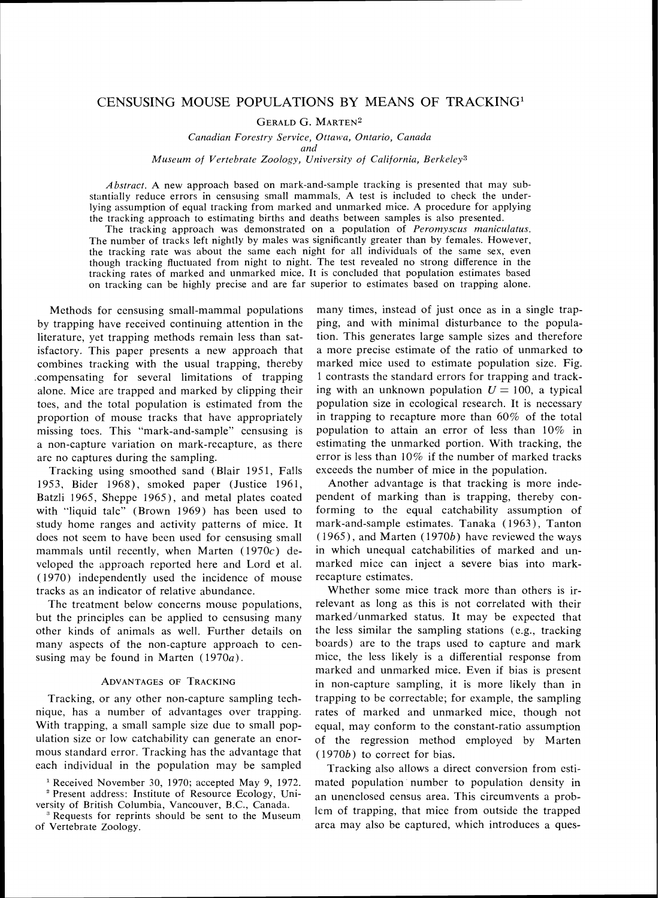# CENSUSING MOUSE POPULATIONS BY MEANS OF TRACKING1

**GERALD G. MARTEN<sup>2</sup>** 

Canadian Forestry Service, Ottawa, Ontario, Canada *and* 

Museum of Vertebrate Zoology, University of California, Berkeley<sup>3</sup>

*Abstmct. A* new approach based on mark-and-sample tracking is presented that may substantially reduce errors in censusing small mammals. A test is included to check the underlying assumption of equal tracking from marked and unmarked mice. A procedure for applying the tracking approach to estimating births and deaths between samples is also presented.

The tracking approach was demonstrated on a population of *Peromyscus maniculatus*. The number of tracks left nightly by males was significantly greater than by females. However, the tracking rate was about the same each night for all individuals of the same sex, even though tracking fluctuated from night to night. The test revealed no strong difference in the tracking rates of marked and unmarked mice. It is concluded that population estimates based on tracking can be highly precise and are far superior to estimates based on trapping alone.

isfactory. This paper presents a new approach that Methods for censusing small-mammal populations by trapping have received continuing attention in the literature, yet trapping methods remain less than satcombines tracking with the usual trapping, thereby .compensating for several limitations of trapping alone. Mice are trapped and marked by clipping their toes, and the total population is estimated from the proportion of mouse tracks that have appropriately missing toes. This "mark-and-sample" censusing is a non-capture variation on mark-recapture, as there are no captures during the sampling.

Tracking using smoothed sand (Blair 1951. Falls 1953. Bider 1968), smoked paper (Justice 1961, Batzli 1965, Sheppe 1965). and metal plates coated with "liquid talc" (Brown 1969) has been used to study home ranges and activity patterns of mice. It does not seem to have been used for censusing small mammals until recently, when Marten  $(1970c)$  developed the approach reported here and Lord et al. ( 1970) independently used the incidence of mouse tracks as an indicator of relative abundance.

The treatment below concerns mouse populations, but the principles can be applied to censusing many other kinds of animals as well. Further details on many aspects of the non-capture approach to censusing may be found in Marten  $(1970a)$ .

## ADVANTAGES OF TRACKING

Tracking, or any other non-capture sampling technique, has a number of advantages over trapping. With trapping, a small sample size due to small population size or low catchability can generate an enormous standard error. Tracking has the advantage that each individual in the population may be sampled

<sup>1</sup> Received November 30, 1970; accepted May 9, 1972. Present address: Institute of Resource Ecology, Uni-

versity of British Columbia, Vancouver, B.C.. Canada. <sup>3</sup> Requests for reprints should be sent to the Museum of Vertebrate Zoology.

many times, instead of just once as in a single trapping, and with minimal disturbance to the population. This generates large sample sizes and therefore a more precise estimate of the ratio of unmarked to marked mice used to estimate population size. Fig. 1 contrasts the standard errors for trapping and tracking with an unknown population  $U=100$ , a typical population size in ecological research. It is necessary in trapping to recapture more than 60% of the total population to attain an error of less than 10% in estimating the unmarked portion. With tracking, the error is less than 10% if the number of marked tracks exceeds the number of mice in the population.

Another advantage is that tracking is more independent of marking than is trapping, thereby conforming to the equal catchability assumption of mark-and-sample estimates. Tanaka (1963), Tanton  $(1965)$ , and Marten  $(1970b)$  have reviewed the ways in which unequal catchabilities of marked and unmarked mice can inject a severe bias into markrecapture estimates.

Whether some mice track more than others is irrelevant as long as this is not correlated with their marked/unmarked status. It may be expected that the less similar the sampling stations (e.g., tracking boards) are to the traps used to capture and mark mice, the less likely is a differential response from marked and unmarked mice. Even if bias is present in non-capture sampling, it is more likely than in trapping to be correctable; for example, the sampling rates of marked and unmarked mice, though not equal, may conform to the constant-ratio assumption of the regression method employed by Marten (1970b) to correct for bias.

Tracking also allows a direct conversion from estimated population number to population density in an unenclosed census area. This circumvents a problem of trapping, that mice from outside the trapped area may also be captured, which introduces a ques-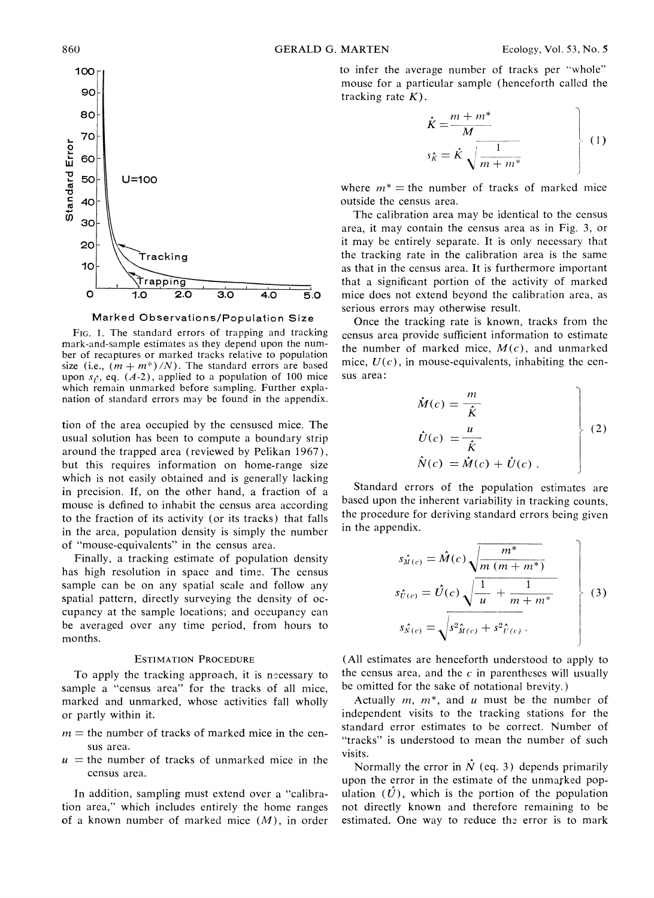

Marked Observations/Population Size

FIG. 1. The standard errors of trapping and tracking mark-and-sample estimates as they depend upon the number of recaptures or marked tracks relative to population size (i.e.,  $(m + m^*)/N$ ). The standard errors are based upon  $s_i$ , eq.  $(A-2)$ , applied to a population of 100 mice which remain unmarked before sampling. Further explanation of standard errors may be found in the appendix.

tion of the area occupied by the censused mice. The usual solution has been to compute a boundary strip around the trapped area (reviewed by Pelikan 1967). but this requires information on home-range size which is not easily obtained and is generally lacking in precision. If, on the other hand, a fraction of a mouse is defined to inhabit the census area according to the fraction of its activity (or its tracks) that falls in the area, population density is simply the number of "mouse-equivalents" in the census area.

Finally, a tracking estimate of population density has high resolution in space and time. The census sample can be on any spatial scale and follow any spatial pattern, directly surveying the density of occupancy at the sample locations; and occupancy can be averaged over any time period, from hours to months.

# **ESTIMATION PROCEDURE**

To apply the tracking approach, it is necessary to sample a "census area" for the tracks of all mice, marked and unmarked, whose activities fall wholly or partly within it.

- $m =$  the number of tracks of marked mice in the census area.
- $u =$  the number of tracks of unmarked mice in the census area.

In addition, sampling must extend over a "calibration area." which includes entirely the home ranges of a known number of marked mice  $(M)$ , in order

to infer the average number of tracks per "whole" mouse for a particular sample (henceforth called the tracking rate  $K$ ).

$$
\vec{k} = \frac{m + m^*}{M}
$$
\n
$$
s_{\hat{k}} = \hat{K} \sqrt{\frac{1}{m + m^*}}
$$
\n(1)

where  $m^*$  = the number of tracks of marked mice outside the census area.

The calibration area may be identical to the census area, it may contain the census area as in Fig. 3, or it may be entirely separate. It is only necessary that the tracking rate in the calibration area is the same as that in the census area. It is furthermore important that a significant portion of the activity of marked mice does not extend beyond the calibration area, as serious errors may otherwise result.

Once the tracking rate is known, tracks from the census area provide sufficient information to estimate the number of marked mice,  $M(c)$ , and unmarked mice,  $U(c)$ , in mouse-equivalents, inhabiting the census area:

$$
\hat{M}(c) = \frac{m}{\hat{K}}
$$
\n
$$
\hat{U}(c) = \frac{u}{\hat{K}}
$$
\n
$$
\hat{N}(c) = \hat{M}(c) + \hat{U}(c)
$$
\n(2)

Standard errors of the population estimates are based upon the inherent variability in tracking counts. the procedure for deriving standard errors being given in the appendix.

$$
s_{\hat{M}(c)} = \hat{M}(c) \sqrt{\frac{m^*}{m (m + m^*)}}
$$
  
\n
$$
s_{\hat{U}(c)} = \hat{U}(c) \sqrt{\frac{1}{u} + \frac{1}{m + m^*}}
$$
  
\n
$$
s_{\hat{N}(c)} = \sqrt{s^2_{\hat{M}(c)} + s^2_{\hat{U}(c)}}.
$$
\n(3)

(All estimates are henceforth understood to apply to the census area, and the  $c$  in parentheses will usually be omitted for the sake of notational brevity.)

Actually  $m$ ,  $m^*$ , and  $\mu$  must be the number of independent visits to the tracking stations for the standard error estimates to be correct. Number of "tracks" is understood to mean the number of such visits.

Normally the error in  $\hat{N}$  (eq. 3) depends primarily upon the error in the estimate of the unmarked population  $(\hat{U})$ , which is the portion of the population not directly known and therefore remaining to be estimated. One way to reduce the error is to mark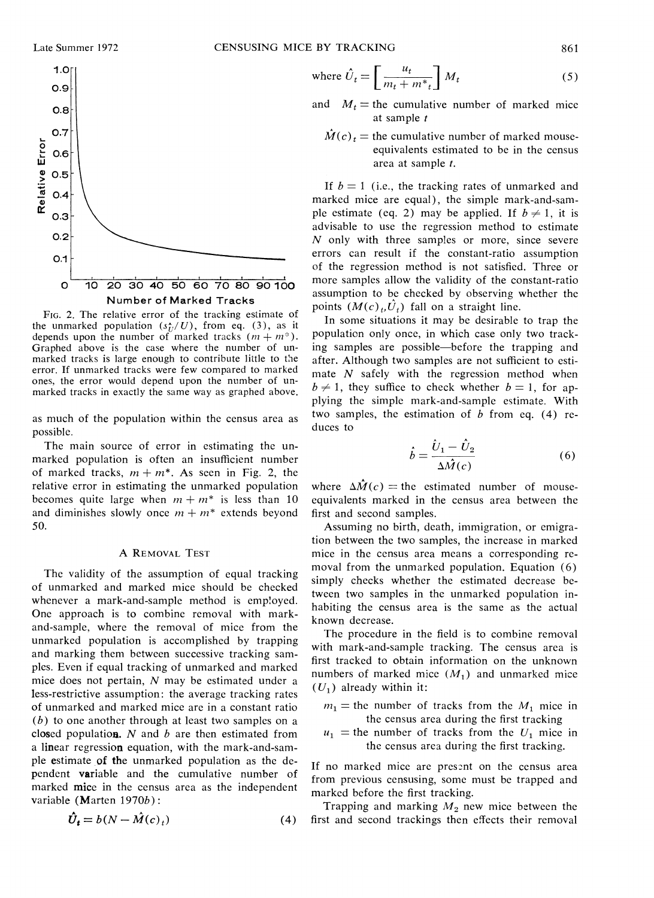

FIG.2. The relative error of the tracking estimate of the unmarked population  $(s<sub>T</sub>/U)$ , from eq. (3), as it depends upon the number of marked tracks  $(m + m^*)$ . Graphed above is the case where the number of un-<br>marked tracks is large enough to contribute little to the error. If unmarked tracks were few compared to marked ones, the error would depend upon the number of unmarked tracks in exactly the same way as graphed above.

as much of the population within the census area as possible.

The main source of error in estimating the unmarked population is often an insufficient number of marked tracks,  $m + m^*$ . As seen in Fig. 2, the relative error in estimating the unmarked population becomes quite large when  $m + m^*$  is less than 10 and diminishes slowly once  $m + m^*$  extends beyond 50.

#### A REMOVAL TEST

The validity of the assumption of equal tracking of unmarked and marked mice should be checked whenever a mark-and-sample method is employed. One approach is to combine removal with markand-sample, where the removal of mice from the unmarked population is accomplished by trapping and marking them between successive tracking samples. Even if equal tracking of unmarked and marked mice does not pertain, N may be estimated under a less-restrictive assumption: the average tracking rates of unmarked and marked mice are in a constant ratio  $(b)$  to one another through at least two samples on a closed population.  $N$  and  $b$  are then estimated from a linear regression equation, with the mark-and-sample estimate of the unmarked population as the dependent variable and the cumulative number of marked mice in the census area as the independent variable (Marten 1970b):

$$
\hat{U}_t = b(N - \hat{M}(c)_t) \tag{4}
$$

where 
$$
\hat{U}_t = \left[\frac{u_t}{m_t + m^*_{t}}\right] M_t
$$
 (5)

- and  $M_t$  = the cumulative number of marked mice at sample *t* 
	- $\hat{M}(c)$ , = the cumulative number of marked mouseequivalents estimated to be in the census area at sample *t.*

If  $b = 1$  (i.e., the tracking rates of unmarked and marked mice are equal), the simple mark-and-sample estimate (eq. 2) may be applied. If  $b \neq 1$ , it is advisable to use the regression method to estimate  $N$  only with three samples or more, since severe errors can result if the consiant-ratio assumption of the regression method is not satisfied. Three or more samples allow the validity of the constant-ratio assumption to be checked by observing whether the points  $(M(c),\hat{U}_t)$  fall on a straight line.

In some situations it may be desirable to trap the populaticn only once, in which case only two tracking samples are possible-before the trapping and after. Although two samples are not sufficient to estimate  $N$  safely with the regression method when  $b \neq 1$ , they suffice to check whether  $b = 1$ , for applying the simple mark-and-sample estimate. With two samples, the estimation of  $b$  from eq. (4) reduces to Eq. in which cassible—before<br>
samples are not<br>
th the regress<br>
to check whet<br>
mark-and-samp<br>
stimation of b<br>  $\vec{b} = \frac{\hat{U}_1 - \hat{U}_2}{\Delta \hat{M}(c)}$ <br>
e estimated n

$$
\dot{b} = \frac{\hat{U}_1 - \hat{U}_2}{\Delta \hat{M}(c)}\tag{6}
$$

where  $\Delta \hat{M}(c)$  = the estimated number of mouseequivalents marked in the census area between the first and second samples.

Assuming no birth, death, immigration, or emigration between the two samples, the increase in marked mice in the census area means a corresponding removal from the unmarked population. Equation (6) simply checks whether the estimated decrease between two samples in the unmarked population inhabiting the census area is the same as the actual known decrease.

The procedure in the field is to combine removal with mark-and-sample tracking. The census area is first tracked to obtain information on the unknown numbers of marked mice  $(M_1)$  and unmarked mice  $(U_1)$  already within it:

- $m_1$  = the number of tracks from the  $M_1$  mice in the census area during the first tracking
- $u_1$  = the number of tracks from the  $U_1$  mice in the census area during the first tracking.

If no marked mice are present on the census area from previous censusing, some must be trapped and marked before the first tracking.

Trapping and marking  $M_2$  new mice between the first and second trackings then effects their removal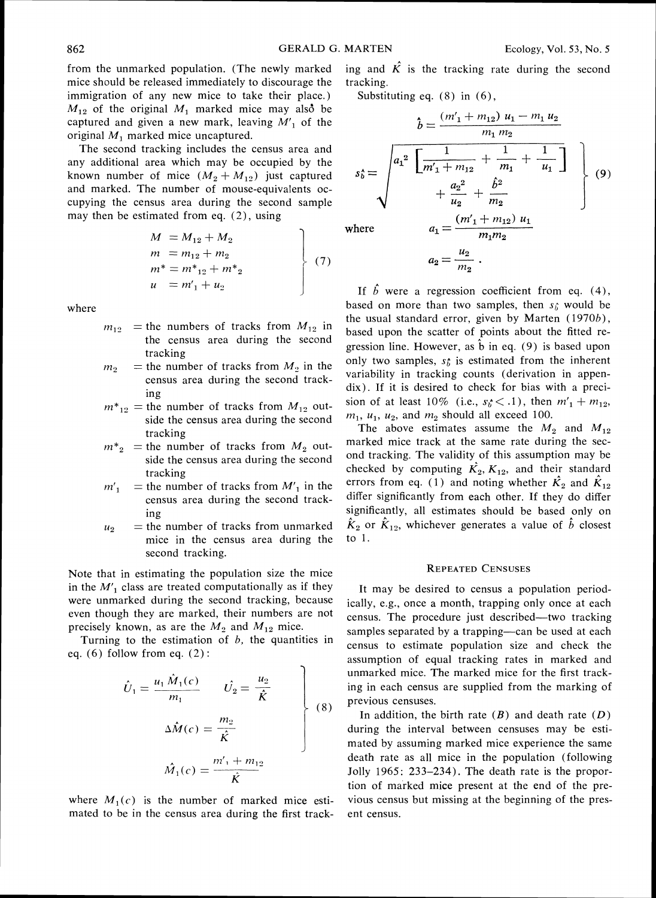from the unmarked population. (The newly marked mice should be released immediately to discourage the immigration of any new mice to take their place.)  $M_{12}$  of the original  $M_1$  marked mice may also be captured and given a new mark, leaving *M',* of the original  $M_1$  marked mice uncaptured.

The second tracking includes the census area and any additional area which may be occupied by the known number of mice  $(M_2 + M_{12})$  just captured and marked. The number of mouse-equivalents occupying the census area during the second sample may then be estimated from eq. (2), using

$$
M = M_{12} + M_2
$$
  
\n
$$
m = m_{12} + m_2
$$
  
\n
$$
m^* = m^*_{12} + m^*_{2}
$$
  
\n
$$
u = m'_1 + u_2
$$
\n(7)

where

- $m_{12}$  = the numbers of tracks from  $M_{12}$  in the census area during the second tracking
- $m_2$  = the number of tracks from  $M_2$  in the census area during the second tracking
- $m^*_{12}$  = the number of tracks from  $M_{12}$  outside the census area during the second tracking
- $m^*$ <sub>2</sub> = the number of tracks from  $M$ <sub>2</sub> outside the census area during the second tracking
- $m'_1$  = the number of tracks from  $M'_1$  in the census area during the second tracking
- $u_2$  = the number of tracks from unmarked mice in the census area during the second tracking.

Note that in estimating the population size the mice in the  $M'_1$  class are treated computationally as if they were unmarked during the second tracking, because even though they are marked, their numbers are not precisely known, as are the  $M_2$  and  $M_{12}$  mice.

Turning to the estimation of  $b$ , the quantities in eq.  $(6)$  follow from eq.  $(2)$ :

$$
\hat{U}_1 = \frac{u_1 \hat{M}_1(c)}{m_1} \qquad \hat{U}_2 = \frac{u_2}{\hat{K}}
$$
\n
$$
\Delta \hat{M}(c) = \frac{m_2}{\hat{K}}
$$
\n
$$
\hat{M}_1(c) = \frac{m'_1 + m_{12}}{\hat{K}}
$$
\n(8)

where  $M_1(c)$  is the number of marked mice estimated to be in the census area during the first tracking and  $\hat{K}$  is the tracking rate during the second tracking.

Substituting eq. (8) in (6),

$$
\hat{b} = \frac{(m'_1 + m_12) u_1 - m_1 u_2}{m_1 m_2}
$$
\n
$$
s_0^* = \sqrt{a_1^2 \left[ \frac{1}{m'_1 + m_12} + \frac{1}{m_1} + \frac{1}{u_1} \right]}
$$
\n
$$
+ \frac{a_2^2}{u_2} + \frac{\hat{b}^2}{m_2}
$$
\nwhere\n
$$
a_1 = \frac{(m'_1 + m_{12}) u_1}{m_1 m_2}
$$
\nwhere\n
$$
a_2 = \frac{(m'_1 + m_2) u_1}{m_1 m_2}
$$

$$
a_2=\frac{u_2}{m_2}.
$$

If  $\hat{b}$  were a regression coefficient from eq. (4), based on more than two samples, then  $s_i$  would be the usual standard error, given by Marten (1970b), based upon the scatter of points about the fitted regression line. However, as  $\hat{b}$  in eq. (9) is based upon only two samples,  $s_b$  is estimated from the inherent variability in tracking counts (derivation in appendix). If it is desired to check for bias with a precision of at least 10% (i.e.,  $s_b \lt .1$ ), then  $m_1' + m_{12}$ ,  $m_1$ ,  $u_1$ ,  $u_2$ , and  $m_2$  should all exceed 100.

The above estimates assume the  $M_2$  and  $M_{12}$ marked mice track at the same rate during the second tracking. The validity of this assumption may be checked by computing  $\mathbf{K}_2$ ,  $\mathbf{K}_{12}$ , and their standard errors from eq. (1) and noting whether  $\hat{K}_2$  and  $\hat{K}_{12}$ differ significantly from each other. If they do differ significantly, all estimates should be based only on  $\hat{K}_2$  or  $\hat{K}_{12}$ , whichever generates a value of  $\hat{b}$  closest to 1.

#### **REPEATED CENSUSES**

It may be desired to census a population periodically, e.g., once a month, trapping only once at each census. The procedure just described—two tracking samples separated by a trapping—can be used at each census to estimate population size and check the assumption of equal tracking rates in marked and unmarked mice. The marked mice for the first tracking in each census are supplied from the marking of previous censuses.

In addition, the birth rate  $(B)$  and death rate  $(D)$ during the interval between censuses may be estimated by assuming marked mice experience the same death rate as all mice in the population (following Jolly 1965: 233-234). The death rate is the proportion of marked mice present at the end of the previous census but missing at the beginning of the present census.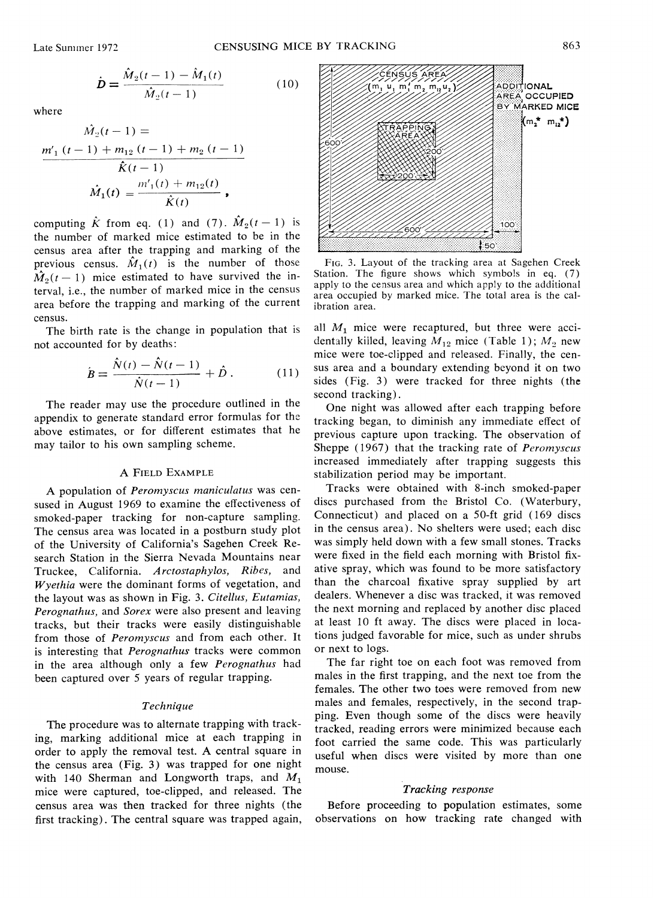$$
\dot{\mathbf{D}} = \frac{\hat{M}_2(t-1) - \hat{M}_1(t)}{\hat{M}_2(t-1)}
$$
(10)

where

$$
\hat{M}_2(t-1) = \frac{m'_1(t-1) + m_1(t-1) + m_2(t-1)}{\hat{K}(t-1)}
$$

$$
\hat{M}_1(t) = \frac{m'_1(t) + m_1(t)}{\hat{K}(t)},
$$

census area after the trapping and marking of the computing  $\hat{K}$  from eq. (1) and (7).  $\hat{M}_2(t-1)$  is the number of marked mice estimated to be in the previous census.  $\hat{M}_1(t)$  is the number of those  $\hat{M}_2(t-1)$  mice estimated to have survived the interval, i.e., the number of marked mice in the census area before the trapping and marking of the current census.

The birth rate is the change in population that is not accounted for by deaths:

$$
\dot{B} = \frac{\hat{N}(t) - \hat{N}(t-1)}{\hat{N}(t-1)} + \hat{D}.
$$
 (11)

The reader may use the procedure outlined in the appendix to generate standard error formulas for the above estimates, or for different estimates that he may tailor to his own sampling scheme.

## A FIELD EXAMPLE

A population of Peromyscus maniculatus was censused in August 1969 to examine the effectiveness of smoked-paper tracking for non-capture sampling. The census area was located in a postburn study plot of the University of California's Sagehen Creek Research Station in the Sierra Nevada Mountains near Truckee, California. Arctostaphylos, Ribes, and  $W$ yethia were the dominant forms of vegetation, and the layout was as shown in Fig. 3. Citellus, Eutamias, Perognathus, and Sorex were also present and leaving tracks, but their tracks were easily distinguishable from those of Peromyscus and from each other. It is interesting that *Perognathus* tracks were common in the area although only a few Perognathus had been captured over 5 years of regular trapping.

## Technique

The procedure was to alternate trapping with tracking, marking additional mice at each trapping in order to apply the removal test. A central square in the census area (Fig. **3)** was trapped for one night with 140 Sherman and Longworth traps, and  $M_1$ mice were captured, toe-clipped, and released. The census area was then tracked for three nights (the first tracking). The central square was trapped again,



FIG.3. Layout of the tracking area at Sagehen Creek Station. The figure shows which symbols in eq.  $(7)$  apply to the census area and which apply to the additional area occupied by marked mice. The total area is the calibration area.

all  $M_1$  mice were recaptured, but three were accidentally killed, leaving  $M_{12}$  mice (Table 1);  $M_2$  new mice were toe-clipped and released. Finally, the census area and a boundary extending beyond it on two sides (Fig. 3) were tracked for three nights (the second tracking).

One night was allowed after each trapping before tracking began, to diminish any immediate effect of previous capture upon tracking. The observation of Sheppe (1967) that the tracking rate of *Peromyscus* increased immediately after trapping suggests this stabilization period may be important.

Tracks were obtained with 8-inch smoked-paper discs purchased from the Bristol Co. (Waterbury, Connecticut) and placed on a 50-ft grid (169 discs in the census area). No shelters were used; each disc was simply held down with a few small stones. Tracks were fixed in the field each morning with Bristol fixative spray, which was found to be more satisfactory than the charcoal fixative spray supplied by art dealers. Whenever a disc was tracked, it was removed the next morning and replaced by another disc placed at least 10 ft away. The discs were placed in locations judged favorable for mice, such as under shrubs or next to logs.

The far right toe on each foot was removed from males in the first trapping, and the next toe from the females. The other two toes were removed from new males and females, respectively, in the second trapping. Even though some of the discs were heavily tracked, reading errors were minimized because each foot carried the same code. This was particularly useful when discs were visited by more than one mouse.

## Tracking response

Before proceeding to population estimates, some observations on how tracking rate changed with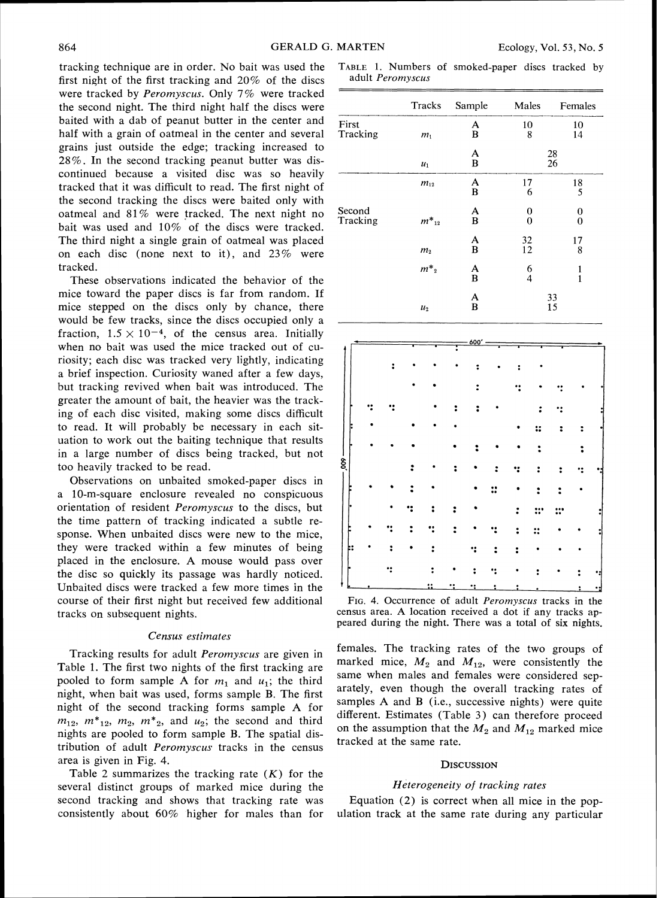tracking technique are in order. No bait was used the first night of the first tracking and 20% of the discs were tracked by Peromyscus. Only 7% were tracked the second night. The third night half the discs were baited with a dab of peanut butter in the center and half with a grain of oatmeal in the center and several grains just outside the edge; tracking increased to 28%. In the second tracking peanut butter was discontinued because a visited disc was so heavily tracked that it was difficult to read. The first night of the second tracking the discs were baited only with oatmeal and 81% were tracked. The next night no bait was used and 10% of the discs were tracked. The third night a single grain of oatmeal was placed on each disc (none next to it), and 23% were tracked.

These observations indicated the behavior of the mice toward the paper discs is far from random. If mice stepped on the discs only by chance, there would be few tracks, since the discs occupied only a fraction,  $1.5 \times 10^{-4}$ , of the census area. Initially when no bait was used the mice tracked out of curiosity; each disc was tracked very lightly, indicating a brief inspection. Curiosity waned after a few days, but tracking revived when bait was introduced. The greater the amount of bait, the heavier was the tracking of each disc visited, making some discs difficult to read. It will probably be necessary in each situation to work out the baiting technique that results in a large number of discs being tracked, but not too heavily tracked to be read.

Observations on unbaited smoked-paper discs in a 10-m-square enclosure revealed no conspicuous orientation of resident Peromyscus to the discs, but the time pattern of tracking indicated a subtle response. When unbaited discs were new to the mice, they were tracked within a few minutes of being placed in the enclosure. A mouse would pass over the disc so quickly its passage was hardly noticed. Unbaited discs were tracked a few more times in the course of their first night but received few additional tracks on subsequent nights.

#### Census estimates

Tracking results for adult Peromyscus are given in Table 1. The first two nights of the first tracking are pooled to form sample A for  $m_1$  and  $u_1$ ; the third night, when bait was used, forms sample B. The first night of the second tracking forms sample A for  $m_{12}$ ,  $m^*_{12}$ ,  $m_2$ ,  $m^*_{2}$ , and  $u_2$ ; the second and third nights are pooled to form sample B. The spatial distribution of adult Peromyscus tracks in the census area is given in Fig. 4.

Table 2 summarizes the tracking rate  $(K)$  for the several distinct groups of marked mice during the second tracking and shows that tracking rate was consistently about 60% higher for males than for

TABLE 1. Numbers of smoked-paper discs tracked by adult Peromyscus

| adult Peromyscus   |                |              |          |                     |  |  |
|--------------------|----------------|--------------|----------|---------------------|--|--|
|                    | Tracks         | Sample       | Males    | Females             |  |  |
| First<br>Tracking  | m <sub>1</sub> | A<br>B       | 10<br>8  | 10<br>14            |  |  |
|                    | $u_1$          | A<br>B       | 28<br>26 |                     |  |  |
|                    | $m_{12}$       | A<br>B       | 17<br>6  | 18<br>5             |  |  |
| Second<br>Tracking | $m_{12}^*$     | A<br>B       | 0<br>0   | 0<br>$\overline{0}$ |  |  |
|                    | m <sub>2</sub> | A<br>B       | 32<br>12 | 17<br>8             |  |  |
|                    | $m^*{}_2$      | $\mathbf{A}$ | 6<br>4   | $\frac{1}{1}$       |  |  |
|                    | u <sub>2</sub> | A<br>B       |          | 33<br>15            |  |  |
|                    |                |              |          |                     |  |  |

|        |   |  |   |   | 600' |   |   |  |  |
|--------|---|--|---|---|------|---|---|--|--|
|        |   |  |   |   |      |   |   |  |  |
|        |   |  |   |   |      |   |   |  |  |
|        |   |  |   |   |      |   |   |  |  |
|        |   |  |   |   |      |   |   |  |  |
|        |   |  |   |   |      |   |   |  |  |
| Б      |   |  |   |   |      |   | ። |  |  |
|        |   |  |   |   |      |   |   |  |  |
| ।<br>8 |   |  |   |   |      |   |   |  |  |
|        |   |  |   |   |      | ። |   |  |  |
|        |   |  |   |   |      |   |   |  |  |
|        |   |  |   |   |      |   |   |  |  |
|        |   |  |   |   |      |   |   |  |  |
|        |   |  |   |   |      |   |   |  |  |
|        |   |  |   |   |      |   |   |  |  |
|        |   |  |   |   |      |   |   |  |  |
|        | ٠ |  | ∷ | 2 | ٠.   | ؛ |   |  |  |

FIG.4. Occurrence of adult Peromyscus tracks in the census area. A location received a dot if any tracks appeared during the night. There was a total of six nights.

females. The tracking rates of the two groups of marked mice,  $M_2$  and  $M_{12}$ , were consistently the same when males and females were considered separately, even though the overall tracking rates of samples A and B (i.e., successive nights) were quite different. Estimates (Table 3) can therefore proceed on the assumption that the  $M_2$  and  $M_{12}$  marked mice tracked at the same rate.

## **DISCUSSION**

#### Heterogeneity of tracking rates

Equation (2) is correct when all mice in the population track at the same rate during any particular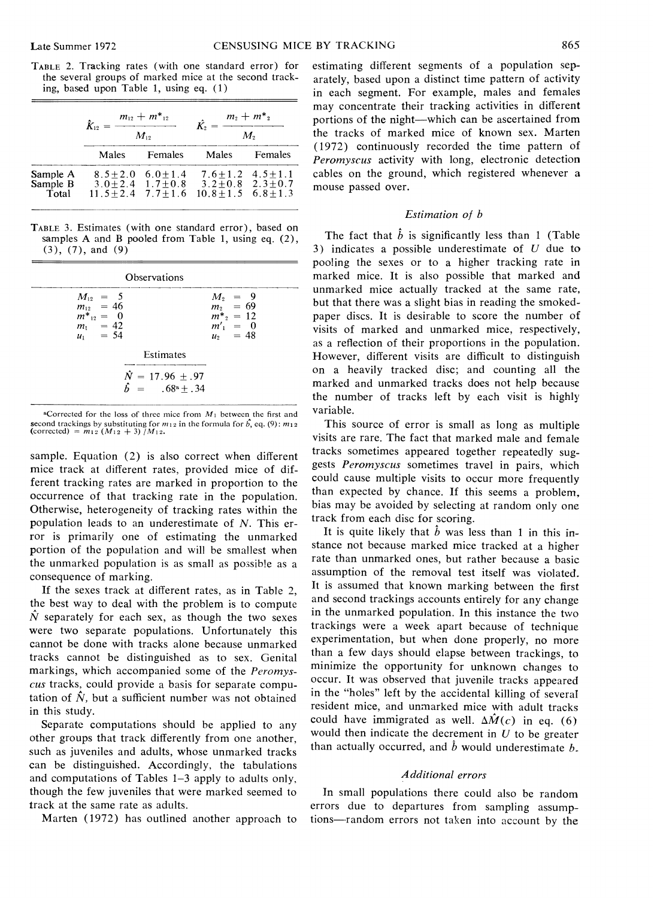|                                                        |  | TABLE 2. Tracking rates (with one standard error) for |  |  |  |  |  |
|--------------------------------------------------------|--|-------------------------------------------------------|--|--|--|--|--|
| the several groups of marked mice at the second track- |  |                                                       |  |  |  |  |  |
| ing, based upon Table 1, using eq. (1)                 |  |                                                       |  |  |  |  |  |
|                                                        |  |                                                       |  |  |  |  |  |

|                               | $\hat{K}_{12} =$ | $\frac{m_{12}+m^*_{12}}{m_{12}+m^*_{12}}$<br>$M_{12}$ | $\frac{m_2 + m^*_{2}}{m_2 + m^*_{2}}$<br>$M_{\rm \tiny e}$                                                      |         |  |
|-------------------------------|------------------|-------------------------------------------------------|-----------------------------------------------------------------------------------------------------------------|---------|--|
|                               |                  | Males Females                                         | Males                                                                                                           | Females |  |
| Sample A<br>Sample B<br>Total |                  | $8.5 + 2.0$ 6.0 + 1.4                                 | $7.6 + 1.2$ $4.5 + 1.1$<br>$3.0+2.4$ $1.7+0.8$ $3.2+0.8$ $2.3+0.7$<br>$11.5+2.4$ $7.7+1.6$ $10.8+1.5$ $6.8+1.3$ |         |  |

TABLE 3. Estimates (with one standard error), based on samples A and B pooled from Table 1, using eq. (2),  $(3), (7),$  and  $(9)$ 

| Observations                                                                                                     |                                                                   |  |  |  |  |
|------------------------------------------------------------------------------------------------------------------|-------------------------------------------------------------------|--|--|--|--|
| $\begin{array}{rcl} M_{12} & = & 5 \\ m_{12} & = & 46 \end{array}$<br>$m^*_{12} = 0$<br>$m_1 = 42$<br>$u_1 = 54$ | $M_2 = 9$<br>$m_2 = 69$<br>$m^* = 12$<br>$m'_1 = 0$<br>$u_2 = 48$ |  |  |  |  |
| Estimates                                                                                                        |                                                                   |  |  |  |  |
| $\tilde{N} = 17.96 + .97$<br>$\hat{b} = 0.68^{\circ} \pm 0.34$                                                   |                                                                   |  |  |  |  |

 $\triangle$ Corrected for the loss of three mice from  $M_1$  between the first and second trackings by substituting for  $m_1$  *i* in the formula for  $\hat{b}$ , eq. (9):  $m_{12}$  (corrected) =  $m_{12}$  ( $M_{12} + 3$ ) / $M_{12}$ .

sample. Equation (2) is also correct when different mice track at different rates, provided mice of different tracking rates are marked in proportion to the occurrence of that tracking rate in the population. Otherwise, heterogeneity of tracking rates within the population leads to an underestimate of N. This error is primarily one of estimating the unmarked portion of the population and will be smallest when the unmarked population is as small as possible as a consequence of marking.

If the sexes track at different rates, as in Table 2, the best way to deal with the problem is to compute  $\hat{N}$  separately for each sex, as though the two sexes were two separate populations. Unfortunately this cannot be done with tracks alone because unmarked tracks cannot be distinguished as to sex. Genital markings, which accompanied some of the *Peromyscus* tracks, could provide a basis for separate computation of  $\hat{N}$ , but a sufficient number was not obtained in this study.

Separate computations should be applied to any other groups that track differently from one another, such as juveniles and adults, whose unmarked tracks can be distinguished. Accordingly, the tabulations and computations of Tables 1-3 apply to adults only. though the few juveniles that were marked seemed to track at the same rate as adults.

Marten (1972) has outlined another approach to

estimating different segments of a population separately, based upon a distinct time pattern of activity in each segment. For example, males and females may concentrate their tracking activities in different portions of the night-which can be ascertained from the tracks of marked mice of known sex. Marten ( 1972) continuously recorded the time pattern of *Peromyscus* activity with long, electronic detection cables on the ground, which registered whenever a mouse passed over.

# *Estimation of b*

The fact that  $\hat{b}$  is significantly less than 1 (Table 3) indicates a possible underestimate of *U* due to pooling the sexes or to a higher tracking rate in marked mice. It is also possible that marked and unmarked mice actually tracked at the same rate, but that there was a slight bias in reading the smokedpaper discs. It is desirable to score the number of visits of marked and unmarked mice, respectively, as a reflection of their proportions in the population. However, different visits are difficult to distinguish on a heavily tracked disc; and counting all the marked and unmarked tracks does not help because the number of tracks left by each visit is highly variable.

This source of error is small as long as multiple visits are rare. The fact that marked male and female tracks sometimes appeared together repeatedly suggests *Peromyscus* sometimes travel in pairs, which could cause multiple visits to occur more frequently than expected by chance. If this seems a problem. bias may be avoided by selecting at random only one track from each disc for scoring.

It is quite likely that  $\hat{b}$  was less than 1 in this instance not because marked mice tracked at a higher rate than unmarked ones, but rather because a basic assumption of the removal test itself was violated. It is assumed that known marking between the first and second trackings accounts entirely for any change in the unmarked population. In this instance the two trackings were a week apart because of technique experimentation, but when done properly, no more than a few days should elapse between trackings, to minimize the opportunity for unknown changes to occur. It was observed that juvenile tracks appeared in the "holes" left by the accidental killing of severaI resident mice, and unmarked mice with adult tracks could have immigrated as well.  $\Delta \hat{M}(c)$  in eq. (6) would then indicate the decrement in *U* to be greater than actually occurred, and  $\hat{b}$  would underestimate  $b$ .

# *Additional errors*

In small populations there could also be random errors due to departures from sampling assumptions---random errors not taken into account by the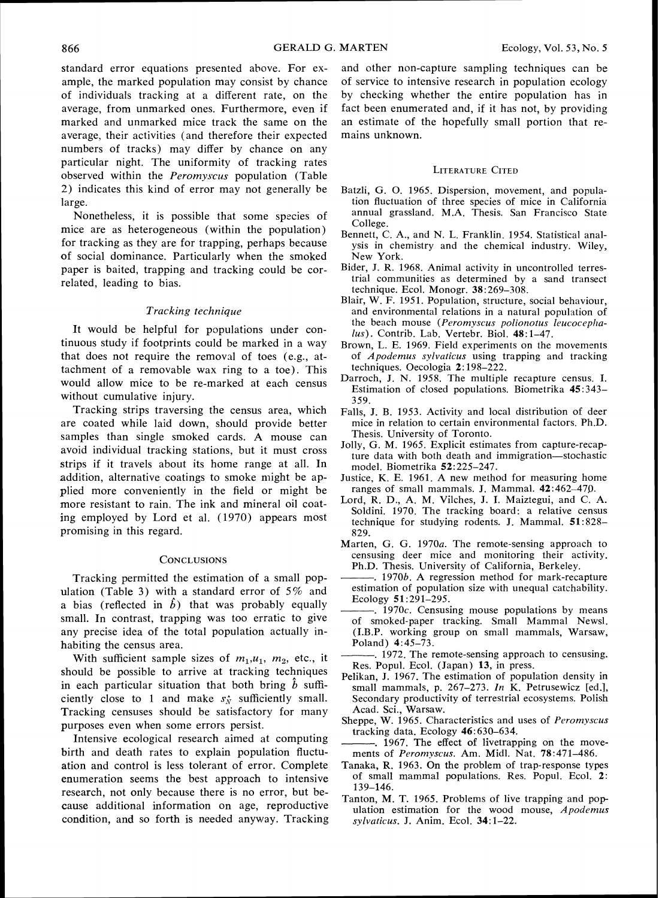standard error equations presented above. For example, the marked population may consist by chance of individuals tracking at a different rate, on the average. from unmarked ones. Furthermore, even if marked and unmarked mice track the same on the average, their activities (and therefore their expected numbers of tracks) may differ by chance on any particular night. The uniformity of tracking rates observed within the Peromyscus population (Table 2) indicates this kind of error may not generally be large.

Nonetheless, it is possible that some species of mice are as heterogeneous (within the population) for tracking as they are for trapping, perhaps because of social dominance. Particularly when the smoked paper is baited, trapping and tracking could be correlated, leading to bias.

# Tracking technique

It would be helpful for populations under continuous study if footprints could be marked in a way that does not require the removal of toes (e.g., attachment of a removable wax ring to a toe). This would allow mice to be re-marked at each census without cumulative injury.

Tracking strips traversing the census area, which are coated while laid down, should provide better samples than single smoked cards. A mouse can avoid individual tracking stations, but it must cross strips if it travels about its home range at all. In addition, alternative coatings to smoke might be applied more conveniently in the field or might be more resistant to rain. The ink and mineral oil coating employed by Lord et al. (1970) appears most promising in this regard.

#### **CONCLUSIONS**

Tracking permitted the estimation of a small population (Table 3) with a standard error of *5%* and a bias (reflected in  $\hat{b}$ ) that was probably equally small. In contrast, trapping was too erratic to give any precise idea of the total population actually inhabiting the census area.

With sufficient sample sizes of  $m_1, u_1, m_2$ , etc., it should be possible to arrive at tracking techniques in each particular situation that both bring  $b$  sufficiently close to 1 and make  $s_N^*$  sufficiently small. Tracking censuses should be satisfactory for many purposes even when some errors persist.

Intensive ecological research aimed at computing birth and death rates to explain population fluctuation and control is less tolerant of error. Complete enumeration seems the best approach to intensive research, not only because there is no error, but because additional information on age, reproductive condition, and so forth is needed anyway. Tracking and other non-capture sampling techniques can be of service to intensive research in population ecology by checking whether the entire population has in fact been enumerated and, if it has not, by providing an estimate of the hopefully small portion that remains unknown.

#### **LITERATURE CITED**

- Batzli, G. 0. *1965.* Dispersion, movement, and population fluctuation of three species of mice in California annual grassland. M.A. Thesis. San Francisco State College.
- Bennett, C. A,, and N. L. Franklin. *1954.* Statistical analysis in chemistry and the chemical industry. Wiley, New York.
- Bider, J. R. *1968.* Animal activity in uncontrolled terrestrial communities as determined by a sand transect technique. Ecol. Monogr. *38: 269-308.*
- Blair, W. F. *1951.* Population, structure, social behaviour, and environmental relations in a natural population of the beach mouse (Peromyscus polionotus leucocephalus). Contrib. Lab. Vertebr. Biol. *48: 1-47.*
- Brown, L. E. *1969.* Field experiments on the movements of  $A$ *podemus sylvaticus* using trapping and tracking techniques. Oecologia *2: 198-222.*
- Darroch, J. N. 1958. The multiple recapture census. I. Estimation of c!osed populations. Biometrika *45:343- 359.*
- Falls, J. B. *1953.* Activity and local distribution of deer mice in relation to certain environmental factors. Ph.D. Thesis. University of Toronto.
- Jolly, G. M. *1965.* Explicit estimates from capture-recapture data with both death and immigration-stochastic model. Biometrika *52:225-247.*
- Justice, K. E. *1961.* A new method for measuring home ranges of small mammals. J. Mammal. *42:462-479.*
- Lord, R. D., A. M. Vilches, J. I. Maiztegui, and C. A. Soldini. *1970.* The tracking board: a relative census technique for studying rodents. J. Mammal. *51:828- 829.*
- Marten, G. G. 1970a. The remote-sensing approach to censusing deer mice and monitoring their activity.
- -. 1970*b*. A regression method for mark-recapture estimation of population size with unequal catchability. Ecology 51*:291-295.*
- of smoked-paper tracking. Small Mammal Newsl. (I.B.P. working group on small mammals, Warsaw, Poland) *4:45-73.*

-. *1972.* The remote-sensing approach to censusing. Res. Popul. Ecol. (Japan) *13,* in press.

- Pelikan, J. *1967.* The estimation of population density in small mammals, p. 267-273. In K. Petrusewicz [ed.], Secondary productivity of terrestrial ecosystems. Polish Acad. Sci., Warsaw.
- Sheppe, W. 1965. Characteristics and uses of Peromyscus tracking data. Ecology *46:630-634.*
- ments of Peromyscus. Am. Midl. Nat. 78:471-486.
- Tanaka, R. *1963.* On the problem of trap-response types of small mammal populations. Res. Popul. Ecol. *2: 139-146.*
- Tanton, M. T. *1965.* Problems of live trapping and population estimation for the wood mouse,  $Apodemus$ sylvaticus. J. Anim. Ecol. *34: 1-22.*